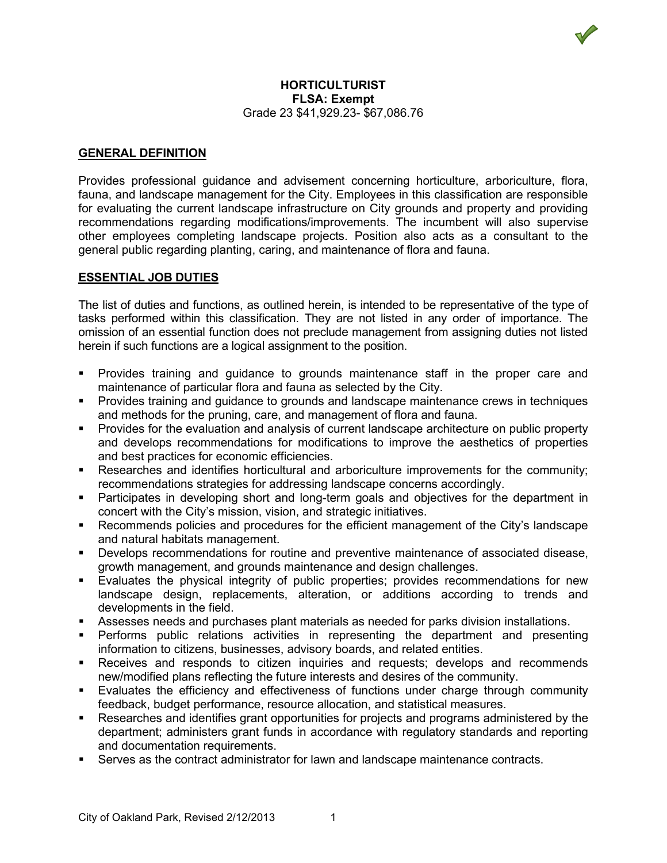### **HORTICULTURIST FLSA: Exempt** Grade 23 \$41,929.23- \$67,086.76

## **GENERAL DEFINITION**

Provides professional guidance and advisement concerning horticulture, arboriculture, flora, fauna, and landscape management for the City. Employees in this classification are responsible for evaluating the current landscape infrastructure on City grounds and property and providing recommendations regarding modifications/improvements. The incumbent will also supervise other employees completing landscape projects. Position also acts as a consultant to the general public regarding planting, caring, and maintenance of flora and fauna.

## **ESSENTIAL JOB DUTIES**

The list of duties and functions, as outlined herein, is intended to be representative of the type of tasks performed within this classification. They are not listed in any order of importance. The omission of an essential function does not preclude management from assigning duties not listed herein if such functions are a logical assignment to the position.

- Provides training and guidance to grounds maintenance staff in the proper care and maintenance of particular flora and fauna as selected by the City.
- Provides training and guidance to grounds and landscape maintenance crews in techniques and methods for the pruning, care, and management of flora and fauna.
- Provides for the evaluation and analysis of current landscape architecture on public property and develops recommendations for modifications to improve the aesthetics of properties and best practices for economic efficiencies.
- Researches and identifies horticultural and arboriculture improvements for the community; recommendations strategies for addressing landscape concerns accordingly.
- Participates in developing short and long-term goals and objectives for the department in concert with the City's mission, vision, and strategic initiatives.
- Recommends policies and procedures for the efficient management of the City's landscape and natural habitats management.
- Develops recommendations for routine and preventive maintenance of associated disease, growth management, and grounds maintenance and design challenges.
- Evaluates the physical integrity of public properties; provides recommendations for new landscape design, replacements, alteration, or additions according to trends and developments in the field.
- Assesses needs and purchases plant materials as needed for parks division installations.
- Performs public relations activities in representing the department and presenting information to citizens, businesses, advisory boards, and related entities.
- Receives and responds to citizen inquiries and requests; develops and recommends new/modified plans reflecting the future interests and desires of the community.
- Evaluates the efficiency and effectiveness of functions under charge through community feedback, budget performance, resource allocation, and statistical measures.
- Researches and identifies grant opportunities for projects and programs administered by the department; administers grant funds in accordance with regulatory standards and reporting and documentation requirements.
- Serves as the contract administrator for lawn and landscape maintenance contracts.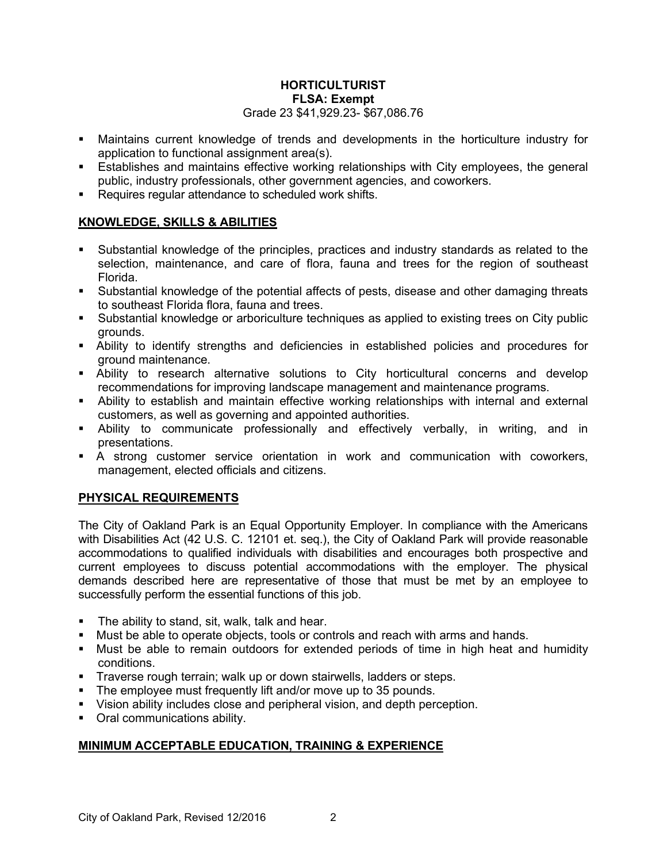## **HORTICULTURIST FLSA: Exempt** Grade 23 \$41,929.23- \$67,086.76

- Maintains current knowledge of trends and developments in the horticulture industry for application to functional assignment area(s).
- Establishes and maintains effective working relationships with City employees, the general public, industry professionals, other government agencies, and coworkers.
- Requires requiar attendance to scheduled work shifts.

## **KNOWLEDGE, SKILLS & ABILITIES**

- Substantial knowledge of the principles, practices and industry standards as related to the selection, maintenance, and care of flora, fauna and trees for the region of southeast Florida.
- Substantial knowledge of the potential affects of pests, disease and other damaging threats to southeast Florida flora, fauna and trees.
- Substantial knowledge or arboriculture techniques as applied to existing trees on City public grounds.
- Ability to identify strengths and deficiencies in established policies and procedures for ground maintenance.
- Ability to research alternative solutions to City horticultural concerns and develop recommendations for improving landscape management and maintenance programs.
- Ability to establish and maintain effective working relationships with internal and external customers, as well as governing and appointed authorities.
- Ability to communicate professionally and effectively verbally, in writing, and in presentations.
- A strong customer service orientation in work and communication with coworkers, management, elected officials and citizens.

# **PHYSICAL REQUIREMENTS**

The City of Oakland Park is an Equal Opportunity Employer. In compliance with the Americans with Disabilities Act (42 U.S. C. 12101 et. seq.), the City of Oakland Park will provide reasonable accommodations to qualified individuals with disabilities and encourages both prospective and current employees to discuss potential accommodations with the employer. The physical demands described here are representative of those that must be met by an employee to successfully perform the essential functions of this job.

- **The ability to stand, sit, walk, talk and hear.**
- Must be able to operate objects, tools or controls and reach with arms and hands.
- Must be able to remain outdoors for extended periods of time in high heat and humidity conditions.
- **Traverse rough terrain; walk up or down stairwells, ladders or steps.**
- The employee must frequently lift and/or move up to 35 pounds.
- Vision ability includes close and peripheral vision, and depth perception.
- Oral communications ability.

# **MINIMUM ACCEPTABLE EDUCATION, TRAINING & EXPERIENCE**